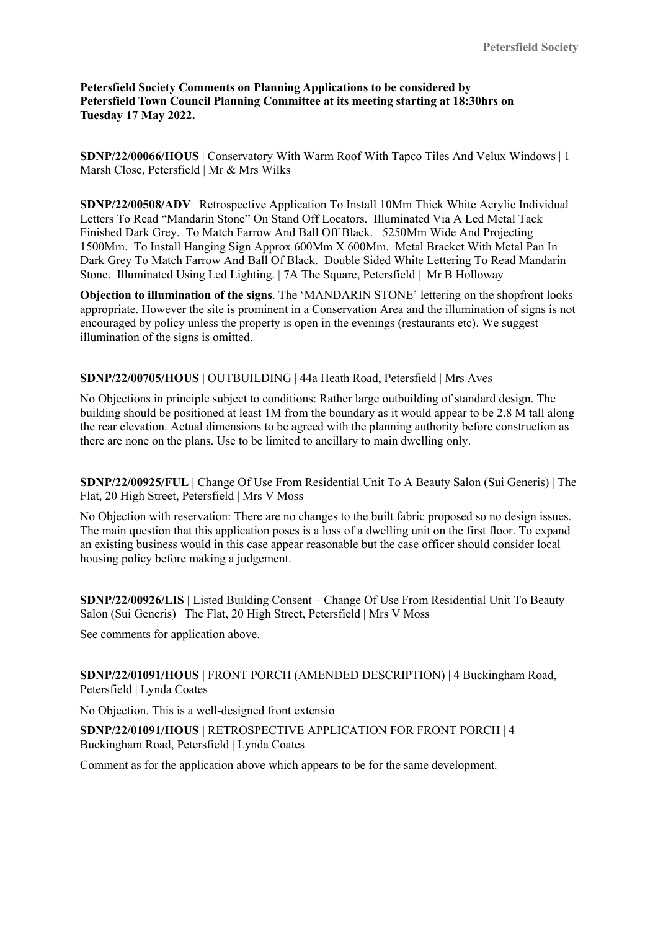**Petersfield Society Comments on Planning Applications to be considered by Petersfield Town Council Planning Committee at its meeting starting at 18:30hrs on Tuesday 17 May 2022.**

**SDNP/22/00066/HOUS** | Conservatory With Warm Roof With Tapco Tiles And Velux Windows | 1 Marsh Close, Petersfield | Mr & Mrs Wilks

**SDNP/22/00508/ADV** | Retrospective Application To Install 10Mm Thick White Acrylic Individual Letters To Read "Mandarin Stone" On Stand Off Locators. Illuminated Via A Led Metal Tack Finished Dark Grey. To Match Farrow And Ball Off Black. 5250Mm Wide And Projecting 1500Mm. To Install Hanging Sign Approx 600Mm X 600Mm. Metal Bracket With Metal Pan In Dark Grey To Match Farrow And Ball Of Black. Double Sided White Lettering To Read Mandarin Stone. Illuminated Using Led Lighting. | 7A The Square, Petersfield | Mr B Holloway

**Objection to illumination of the signs**. The 'MANDARIN STONE' lettering on the shopfront looks appropriate. However the site is prominent in a Conservation Area and the illumination of signs is not encouraged by policy unless the property is open in the evenings (restaurants etc). We suggest illumination of the signs is omitted.

**SDNP/22/00705/HOUS |** OUTBUILDING | 44a Heath Road, Petersfield | Mrs Aves

No Objections in principle subject to conditions: Rather large outbuilding of standard design. The building should be positioned at least 1M from the boundary as it would appear to be 2.8 M tall along the rear elevation. Actual dimensions to be agreed with the planning authority before construction as there are none on the plans. Use to be limited to ancillary to main dwelling only.

**SDNP/22/00925/FUL |** Change Of Use From Residential Unit To A Beauty Salon (Sui Generis) | The Flat, 20 High Street, Petersfield | Mrs V Moss

No Objection with reservation: There are no changes to the built fabric proposed so no design issues. The main question that this application poses is a loss of a dwelling unit on the first floor. To expand an existing business would in this case appear reasonable but the case officer should consider local housing policy before making a judgement.

**SDNP/22/00926/LIS |** Listed Building Consent – Change Of Use From Residential Unit To Beauty Salon (Sui Generis) | The Flat, 20 High Street, Petersfield | Mrs V Moss

See comments for application above.

**SDNP/22/01091/HOUS |** FRONT PORCH (AMENDED DESCRIPTION) | 4 Buckingham Road, Petersfield | Lynda Coates

No Objection. This is a well-designed front extensio

**SDNP/22/01091/HOUS |** RETROSPECTIVE APPLICATION FOR FRONT PORCH | 4 Buckingham Road, Petersfield | Lynda Coates

Comment as for the application above which appears to be for the same development.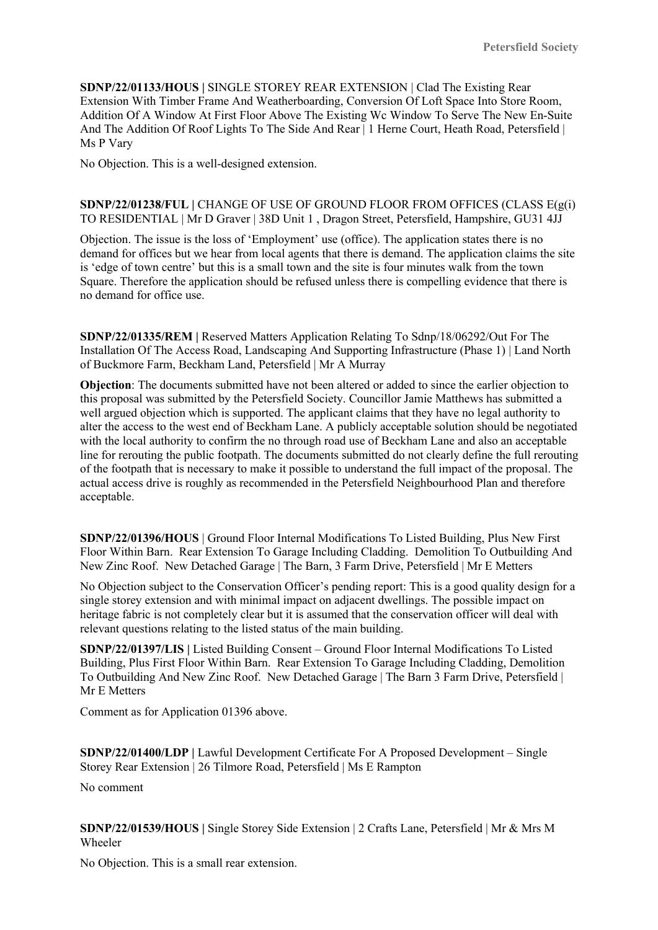**SDNP/22/01133/HOUS |** SINGLE STOREY REAR EXTENSION | Clad The Existing Rear Extension With Timber Frame And Weatherboarding, Conversion Of Loft Space Into Store Room, Addition Of A Window At First Floor Above The Existing Wc Window To Serve The New En-Suite And The Addition Of Roof Lights To The Side And Rear | 1 Herne Court, Heath Road, Petersfield | Ms P Vary

No Objection. This is a well-designed extension.

## **SDNP/22/01238/FUL |** CHANGE OF USE OF GROUND FLOOR FROM OFFICES (CLASS E(g(i) TO RESIDENTIAL | Mr D Graver | 38D Unit 1 , Dragon Street, Petersfield, Hampshire, GU31 4JJ

Objection. The issue is the loss of 'Employment' use (office). The application states there is no demand for offices but we hear from local agents that there is demand. The application claims the site is 'edge of town centre' but this is a small town and the site is four minutes walk from the town Square. Therefore the application should be refused unless there is compelling evidence that there is no demand for office use.

**SDNP/22/01335/REM |** Reserved Matters Application Relating To Sdnp/18/06292/Out For The Installation Of The Access Road, Landscaping And Supporting Infrastructure (Phase 1) | Land North of Buckmore Farm, Beckham Land, Petersfield | Mr A Murray

**Objection**: The documents submitted have not been altered or added to since the earlier objection to this proposal was submitted by the Petersfield Society. Councillor Jamie Matthews has submitted a well argued objection which is supported. The applicant claims that they have no legal authority to alter the access to the west end of Beckham Lane. A publicly acceptable solution should be negotiated with the local authority to confirm the no through road use of Beckham Lane and also an acceptable line for rerouting the public footpath. The documents submitted do not clearly define the full rerouting of the footpath that is necessary to make it possible to understand the full impact of the proposal. The actual access drive is roughly as recommended in the Petersfield Neighbourhood Plan and therefore acceptable.

**SDNP/22/01396/HOUS** | Ground Floor Internal Modifications To Listed Building, Plus New First Floor Within Barn. Rear Extension To Garage Including Cladding. Demolition To Outbuilding And New Zinc Roof. New Detached Garage | The Barn, 3 Farm Drive, Petersfield | Mr E Metters

No Objection subject to the Conservation Officer's pending report: This is a good quality design for a single storey extension and with minimal impact on adjacent dwellings. The possible impact on heritage fabric is not completely clear but it is assumed that the conservation officer will deal with relevant questions relating to the listed status of the main building.

**SDNP/22/01397/LIS |** Listed Building Consent – Ground Floor Internal Modifications To Listed Building, Plus First Floor Within Barn. Rear Extension To Garage Including Cladding, Demolition To Outbuilding And New Zinc Roof. New Detached Garage | The Barn 3 Farm Drive, Petersfield | Mr E Metters

Comment as for Application 01396 above.

**SDNP/22/01400/LDP |** Lawful Development Certificate For A Proposed Development – Single Storey Rear Extension | 26 Tilmore Road, Petersfield | Ms E Rampton

No comment

**SDNP/22/01539/HOUS |** Single Storey Side Extension | 2 Crafts Lane, Petersfield | Mr & Mrs M Wheeler

No Objection. This is a small rear extension.